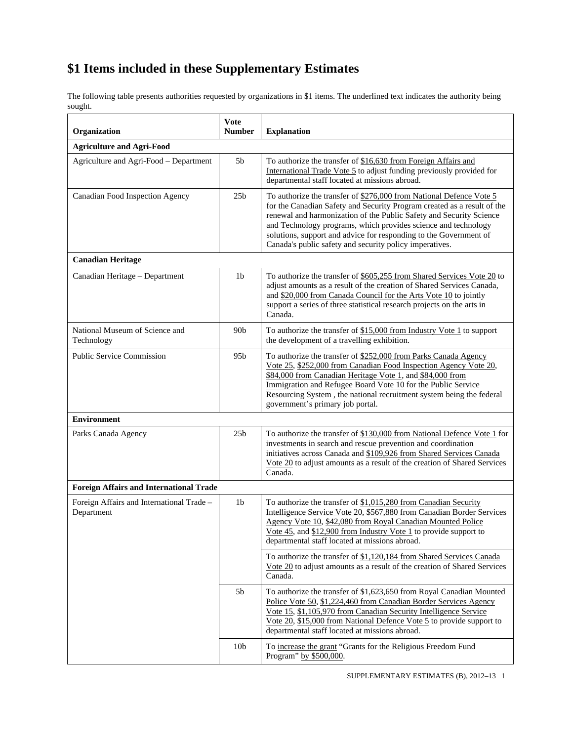The following table presents authorities requested by organizations in \$1 items. The underlined text indicates the authority being sought.

| Organization                                            | <b>Vote</b><br><b>Number</b> | <b>Explanation</b>                                                                                                                                                                                                                                                                                                                                                                                                      |
|---------------------------------------------------------|------------------------------|-------------------------------------------------------------------------------------------------------------------------------------------------------------------------------------------------------------------------------------------------------------------------------------------------------------------------------------------------------------------------------------------------------------------------|
| <b>Agriculture and Agri-Food</b>                        |                              |                                                                                                                                                                                                                                                                                                                                                                                                                         |
| Agriculture and Agri-Food - Department                  | 5b                           | To authorize the transfer of \$16,630 from Foreign Affairs and<br>International Trade Vote 5 to adjust funding previously provided for<br>departmental staff located at missions abroad.                                                                                                                                                                                                                                |
| Canadian Food Inspection Agency                         | 25 <sub>b</sub>              | To authorize the transfer of \$276,000 from National Defence Vote 5<br>for the Canadian Safety and Security Program created as a result of the<br>renewal and harmonization of the Public Safety and Security Science<br>and Technology programs, which provides science and technology<br>solutions, support and advice for responding to the Government of<br>Canada's public safety and security policy imperatives. |
| <b>Canadian Heritage</b>                                |                              |                                                                                                                                                                                                                                                                                                                                                                                                                         |
| Canadian Heritage - Department                          | 1 <sub>b</sub>               | To authorize the transfer of \$605,255 from Shared Services Vote 20 to<br>adjust amounts as a result of the creation of Shared Services Canada,<br>and \$20,000 from Canada Council for the Arts Vote 10 to jointly<br>support a series of three statistical research projects on the arts in<br>Canada.                                                                                                                |
| National Museum of Science and<br>Technology            | 90 <sub>b</sub>              | To authorize the transfer of $$15,000$ from Industry Vote 1 to support<br>the development of a travelling exhibition.                                                                                                                                                                                                                                                                                                   |
| <b>Public Service Commission</b>                        | 95b                          | To authorize the transfer of \$252,000 from Parks Canada Agency<br>Vote 25, \$252,000 from Canadian Food Inspection Agency Vote 20,<br>\$84,000 from Canadian Heritage Vote 1, and \$84,000 from<br>Immigration and Refugee Board Vote 10 for the Public Service<br>Resourcing System, the national recruitment system being the federal<br>government's primary job portal.                                            |
| <b>Environment</b>                                      |                              |                                                                                                                                                                                                                                                                                                                                                                                                                         |
| Parks Canada Agency                                     | 25 <sub>b</sub>              | To authorize the transfer of \$130,000 from National Defence Vote 1 for<br>investments in search and rescue prevention and coordination<br>initiatives across Canada and \$109,926 from Shared Services Canada<br>Vote 20 to adjust amounts as a result of the creation of Shared Services<br>Canada.                                                                                                                   |
| <b>Foreign Affairs and International Trade</b>          |                              |                                                                                                                                                                                                                                                                                                                                                                                                                         |
| Foreign Affairs and International Trade -<br>Department | 1 <sub>b</sub>               | To authorize the transfer of \$1,015,280 from Canadian Security<br>Intelligence Service Vote 20, \$567,880 from Canadian Border Services<br>Agency Vote 10, \$42,080 from Royal Canadian Mounted Police<br>Vote 45, and \$12,900 from Industry Vote 1 to provide support to<br>departmental staff located at missions abroad.                                                                                           |
|                                                         |                              | To authorize the transfer of \$1,120,184 from Shared Services Canada<br>Vote 20 to adjust amounts as a result of the creation of Shared Services<br>Canada.                                                                                                                                                                                                                                                             |
|                                                         | 5b                           | To authorize the transfer of \$1,623,650 from Royal Canadian Mounted<br>Police Vote 50, \$1,224,460 from Canadian Border Services Agency<br>Vote 15, \$1,105,970 from Canadian Security Intelligence Service<br>Vote 20, \$15,000 from National Defence Vote 5 to provide support to<br>departmental staff located at missions abroad.                                                                                  |
|                                                         | 10 <sub>b</sub>              | To increase the grant "Grants for the Religious Freedom Fund<br>Program" by \$500,000.                                                                                                                                                                                                                                                                                                                                  |

SUPPLEMENTARY ESTIMATES (B), 2012–13 1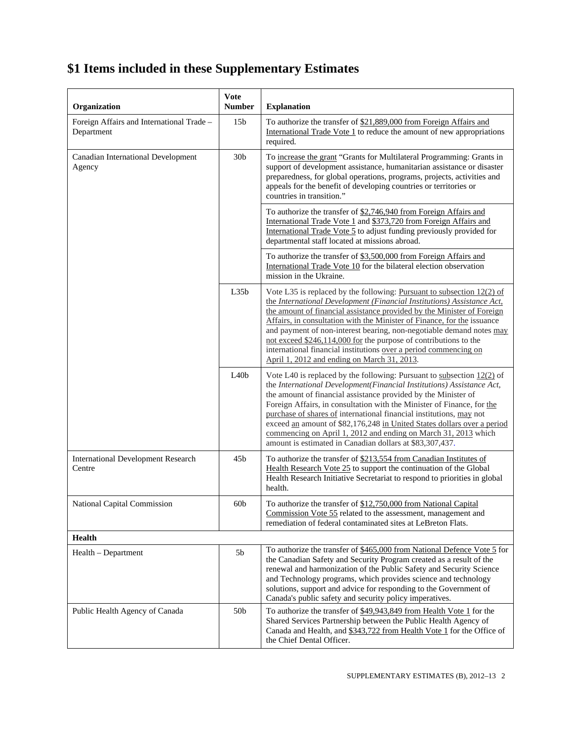| Organization                                            | <b>Vote</b><br><b>Number</b> | <b>Explanation</b>                                                                                                                                                                                                                                                                                                                                                                                                                                                                                                                                                            |
|---------------------------------------------------------|------------------------------|-------------------------------------------------------------------------------------------------------------------------------------------------------------------------------------------------------------------------------------------------------------------------------------------------------------------------------------------------------------------------------------------------------------------------------------------------------------------------------------------------------------------------------------------------------------------------------|
| Foreign Affairs and International Trade -<br>Department | 15 <sub>b</sub>              | To authorize the transfer of \$21,889,000 from Foreign Affairs and<br>International Trade Vote 1 to reduce the amount of new appropriations<br>required.                                                                                                                                                                                                                                                                                                                                                                                                                      |
| <b>Canadian International Development</b><br>Agency     | 30 <sub>b</sub>              | To increase the grant "Grants for Multilateral Programming: Grants in<br>support of development assistance, humanitarian assistance or disaster<br>preparedness, for global operations, programs, projects, activities and<br>appeals for the benefit of developing countries or territories or<br>countries in transition."                                                                                                                                                                                                                                                  |
|                                                         |                              | To authorize the transfer of \$2,746,940 from Foreign Affairs and<br>International Trade Vote 1 and \$373,720 from Foreign Affairs and<br>International Trade Vote 5 to adjust funding previously provided for<br>departmental staff located at missions abroad.                                                                                                                                                                                                                                                                                                              |
|                                                         |                              | To authorize the transfer of \$3,500,000 from Foreign Affairs and<br>International Trade Vote 10 for the bilateral election observation<br>mission in the Ukraine.                                                                                                                                                                                                                                                                                                                                                                                                            |
|                                                         | L35b                         | Vote L35 is replaced by the following: Pursuant to subsection $12(2)$ of<br>the International Development (Financial Institutions) Assistance Act,<br>the amount of financial assistance provided by the Minister of Foreign<br>Affairs, in consultation with the Minister of Finance, for the issuance<br>and payment of non-interest bearing, non-negotiable demand notes may<br>not exceed \$246,114,000 for the purpose of contributions to the<br>international financial institutions over a period commencing on<br>April 1, 2012 and ending on March 31, 2013.        |
|                                                         | L40b                         | Vote L40 is replaced by the following: Pursuant to subsection $12(2)$ of<br>the International Development(Financial Institutions) Assistance Act,<br>the amount of financial assistance provided by the Minister of<br>Foreign Affairs, in consultation with the Minister of Finance, for the<br>purchase of shares of international financial institutions, may not<br>exceed an amount of \$82,176,248 in United States dollars over a period<br>commencing on April 1, 2012 and ending on March 31, 2013 which<br>amount is estimated in Canadian dollars at \$83,307,437. |
| <b>International Development Research</b><br>Centre     | 45 <sub>b</sub>              | To authorize the transfer of \$213,554 from Canadian Institutes of<br>Health Research Vote 25 to support the continuation of the Global<br>Health Research Initiative Secretariat to respond to priorities in global<br>health.                                                                                                                                                                                                                                                                                                                                               |
| <b>National Capital Commission</b>                      | 60 <sub>b</sub>              | To authorize the transfer of \$12,750,000 from National Capital<br>Commission Vote 55 related to the assessment, management and<br>remediation of federal contaminated sites at LeBreton Flats.                                                                                                                                                                                                                                                                                                                                                                               |
| Health                                                  |                              |                                                                                                                                                                                                                                                                                                                                                                                                                                                                                                                                                                               |
| Health – Department                                     | 5b                           | To authorize the transfer of \$465,000 from National Defence Vote 5 for<br>the Canadian Safety and Security Program created as a result of the<br>renewal and harmonization of the Public Safety and Security Science<br>and Technology programs, which provides science and technology<br>solutions, support and advice for responding to the Government of<br>Canada's public safety and security policy imperatives.                                                                                                                                                       |
| Public Health Agency of Canada                          | 50 <sub>b</sub>              | To authorize the transfer of \$49,943,849 from Health Vote 1 for the<br>Shared Services Partnership between the Public Health Agency of<br>Canada and Health, and \$343,722 from Health Vote 1 for the Office of<br>the Chief Dental Officer.                                                                                                                                                                                                                                                                                                                                 |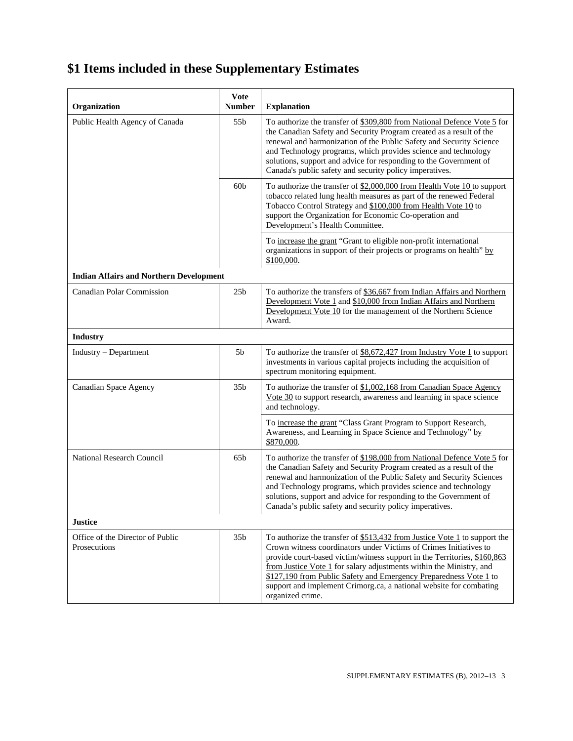| Organization                                     | <b>Vote</b><br><b>Number</b> | <b>Explanation</b>                                                                                                                                                                                                                                                                                                                                                                                                                                               |  |  |
|--------------------------------------------------|------------------------------|------------------------------------------------------------------------------------------------------------------------------------------------------------------------------------------------------------------------------------------------------------------------------------------------------------------------------------------------------------------------------------------------------------------------------------------------------------------|--|--|
| Public Health Agency of Canada                   | 55b                          | To authorize the transfer of \$309,800 from National Defence Vote 5 for<br>the Canadian Safety and Security Program created as a result of the<br>renewal and harmonization of the Public Safety and Security Science<br>and Technology programs, which provides science and technology<br>solutions, support and advice for responding to the Government of<br>Canada's public safety and security policy imperatives.                                          |  |  |
|                                                  | 60 <sub>b</sub>              | To authorize the transfer of \$2,000,000 from Health Vote 10 to support<br>tobacco related lung health measures as part of the renewed Federal<br>Tobacco Control Strategy and \$100,000 from Health Vote 10 to<br>support the Organization for Economic Co-operation and<br>Development's Health Committee.                                                                                                                                                     |  |  |
|                                                  |                              | To increase the grant "Grant to eligible non-profit international<br>organizations in support of their projects or programs on health" by<br>\$100,000.                                                                                                                                                                                                                                                                                                          |  |  |
| <b>Indian Affairs and Northern Development</b>   |                              |                                                                                                                                                                                                                                                                                                                                                                                                                                                                  |  |  |
| <b>Canadian Polar Commission</b>                 | 25 <sub>b</sub>              | To authorize the transfers of \$36,667 from Indian Affairs and Northern<br>Development Vote 1 and \$10,000 from Indian Affairs and Northern<br>Development Vote 10 for the management of the Northern Science<br>Award.                                                                                                                                                                                                                                          |  |  |
| <b>Industry</b>                                  |                              |                                                                                                                                                                                                                                                                                                                                                                                                                                                                  |  |  |
| Industry – Department                            | 5b                           | To authorize the transfer of \$8,672,427 from Industry Vote 1 to support<br>investments in various capital projects including the acquisition of<br>spectrum monitoring equipment.                                                                                                                                                                                                                                                                               |  |  |
| <b>Canadian Space Agency</b>                     | 35 <sub>b</sub>              | To authorize the transfer of \$1,002,168 from Canadian Space Agency<br>Vote 30 to support research, awareness and learning in space science<br>and technology.                                                                                                                                                                                                                                                                                                   |  |  |
|                                                  |                              | To increase the grant "Class Grant Program to Support Research,<br>Awareness, and Learning in Space Science and Technology" by<br>\$870,000.                                                                                                                                                                                                                                                                                                                     |  |  |
| National Research Council                        | 65 <sub>b</sub>              | To authorize the transfer of \$198,000 from National Defence Vote 5 for<br>the Canadian Safety and Security Program created as a result of the<br>renewal and harmonization of the Public Safety and Security Sciences<br>and Technology programs, which provides science and technology<br>solutions, support and advice for responding to the Government of<br>Canada's public safety and security policy imperatives.                                         |  |  |
| <b>Justice</b>                                   |                              |                                                                                                                                                                                                                                                                                                                                                                                                                                                                  |  |  |
| Office of the Director of Public<br>Prosecutions | 35 <sub>b</sub>              | To authorize the transfer of \$513,432 from Justice Vote 1 to support the<br>Crown witness coordinators under Victims of Crimes Initiatives to<br>provide court-based victim/witness support in the Territories, \$160,863<br>from Justice Vote 1 for salary adjustments within the Ministry, and<br>\$127,190 from Public Safety and Emergency Preparedness Vote 1 to<br>support and implement Crimorg.ca, a national website for combating<br>organized crime. |  |  |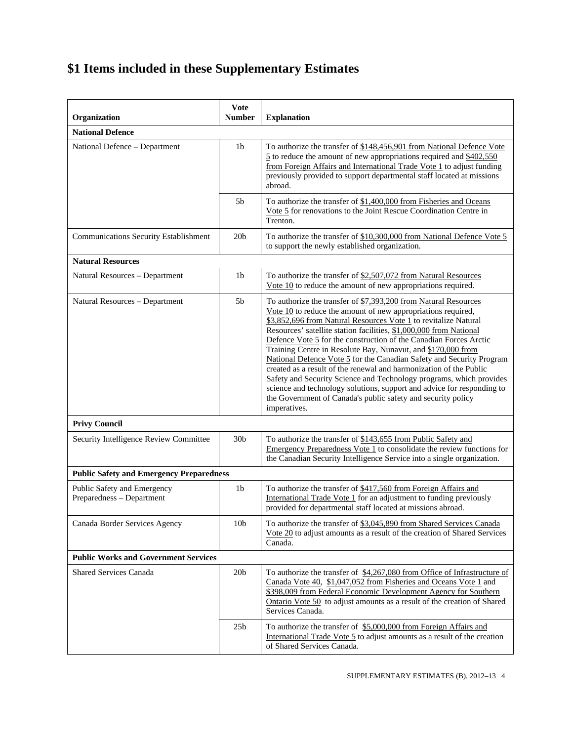| Organization                                             | <b>Vote</b><br><b>Number</b> | <b>Explanation</b>                                                                                                                                                                                                                                                                                                                                                                                                                                                                                                                                                                                                                                                                                                                                                                             |  |  |
|----------------------------------------------------------|------------------------------|------------------------------------------------------------------------------------------------------------------------------------------------------------------------------------------------------------------------------------------------------------------------------------------------------------------------------------------------------------------------------------------------------------------------------------------------------------------------------------------------------------------------------------------------------------------------------------------------------------------------------------------------------------------------------------------------------------------------------------------------------------------------------------------------|--|--|
| <b>National Defence</b>                                  |                              |                                                                                                                                                                                                                                                                                                                                                                                                                                                                                                                                                                                                                                                                                                                                                                                                |  |  |
| National Defence - Department                            | 1 <sub>b</sub>               | To authorize the transfer of \$148,456,901 from National Defence Vote<br>$\frac{5}{2}$ to reduce the amount of new appropriations required and \$402,550<br>from Foreign Affairs and International Trade Vote 1 to adjust funding<br>previously provided to support departmental staff located at missions<br>abroad.                                                                                                                                                                                                                                                                                                                                                                                                                                                                          |  |  |
|                                                          | 5b                           | To authorize the transfer of \$1,400,000 from Fisheries and Oceans<br>Vote 5 for renovations to the Joint Rescue Coordination Centre in<br>Trenton.                                                                                                                                                                                                                                                                                                                                                                                                                                                                                                                                                                                                                                            |  |  |
| <b>Communications Security Establishment</b>             | 20 <sub>b</sub>              | To authorize the transfer of \$10,300,000 from National Defence Vote 5<br>to support the newly established organization.                                                                                                                                                                                                                                                                                                                                                                                                                                                                                                                                                                                                                                                                       |  |  |
| <b>Natural Resources</b>                                 |                              |                                                                                                                                                                                                                                                                                                                                                                                                                                                                                                                                                                                                                                                                                                                                                                                                |  |  |
| Natural Resources - Department                           | 1 <sub>b</sub>               | To authorize the transfer of \$2,507,072 from Natural Resources<br>Vote 10 to reduce the amount of new appropriations required.                                                                                                                                                                                                                                                                                                                                                                                                                                                                                                                                                                                                                                                                |  |  |
| Natural Resources - Department                           | 5 <sub>b</sub>               | To authorize the transfer of \$7,393,200 from Natural Resources<br>Vote $10$ to reduce the amount of new appropriations required,<br>\$3,852,696 from Natural Resources Vote 1 to revitalize Natural<br>Resources' satellite station facilities, \$1,000,000 from National<br>Defence Vote 5 for the construction of the Canadian Forces Arctic<br>Training Centre in Resolute Bay, Nunavut, and \$170,000 from<br>National Defence Vote 5 for the Canadian Safety and Security Program<br>created as a result of the renewal and harmonization of the Public<br>Safety and Security Science and Technology programs, which provides<br>science and technology solutions, support and advice for responding to<br>the Government of Canada's public safety and security policy<br>imperatives. |  |  |
| <b>Privy Council</b>                                     |                              |                                                                                                                                                                                                                                                                                                                                                                                                                                                                                                                                                                                                                                                                                                                                                                                                |  |  |
| Security Intelligence Review Committee                   | 30 <sub>b</sub>              | To authorize the transfer of \$143,655 from Public Safety and<br>Emergency Preparedness Vote 1 to consolidate the review functions for<br>the Canadian Security Intelligence Service into a single organization.                                                                                                                                                                                                                                                                                                                                                                                                                                                                                                                                                                               |  |  |
| <b>Public Safety and Emergency Preparedness</b>          |                              |                                                                                                                                                                                                                                                                                                                                                                                                                                                                                                                                                                                                                                                                                                                                                                                                |  |  |
| Public Safety and Emergency<br>Preparedness - Department | 1 <sub>b</sub>               | To authorize the transfer of \$417,560 from Foreign Affairs and<br>International Trade Vote 1 for an adjustment to funding previously<br>provided for departmental staff located at missions abroad.                                                                                                                                                                                                                                                                                                                                                                                                                                                                                                                                                                                           |  |  |
| Canada Border Services Agency                            | 10 <sub>b</sub>              | To authorize the transfer of \$3,045,890 from Shared Services Canada<br>Vote 20 to adjust amounts as a result of the creation of Shared Services<br>Canada.                                                                                                                                                                                                                                                                                                                                                                                                                                                                                                                                                                                                                                    |  |  |
| <b>Public Works and Government Services</b>              |                              |                                                                                                                                                                                                                                                                                                                                                                                                                                                                                                                                                                                                                                                                                                                                                                                                |  |  |
| <b>Shared Services Canada</b>                            | 20 <sub>b</sub>              | To authorize the transfer of \$4,267,080 from Office of Infrastructure of<br>Canada Vote 40, \$1,047,052 from Fisheries and Oceans Vote 1 and<br>\$398,009 from Federal Economic Development Agency for Southern<br>Ontario Vote 50 to adjust amounts as a result of the creation of Shared<br>Services Canada.                                                                                                                                                                                                                                                                                                                                                                                                                                                                                |  |  |
|                                                          | 25 <sub>b</sub>              | To authorize the transfer of \$5,000,000 from Foreign Affairs and<br>International Trade Vote 5 to adjust amounts as a result of the creation<br>of Shared Services Canada.                                                                                                                                                                                                                                                                                                                                                                                                                                                                                                                                                                                                                    |  |  |